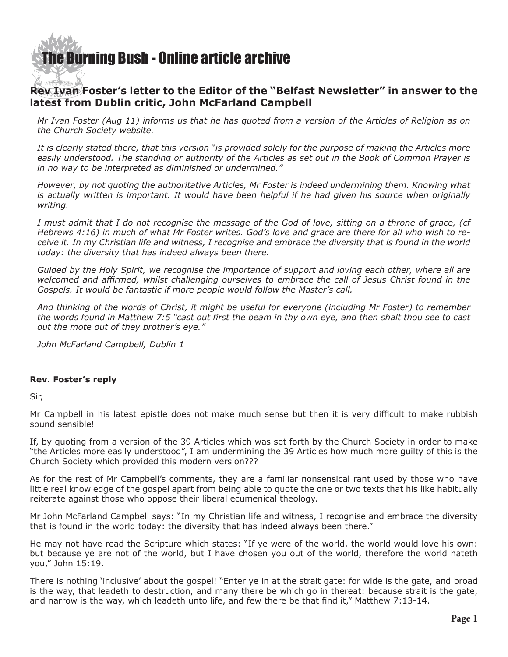## [The Burning Bush - Online article archive](http://www.ivanfoster.net)

## **Rev Ivan Foster's letter to the Editor of the "Belfast Newsletter" in answer to the latest from Dublin critic, John McFarland Campbell**

*Mr Ivan Foster (Aug 11) informs us that he has quoted from a version of the Articles of Religion as on the Church Society website.*

*It is clearly stated there, that this version "is provided solely for the purpose of making the Articles more easily understood. The standing or authority of the Articles as set out in the Book of Common Prayer is in no way to be interpreted as diminished or undermined."*

*However, by not quoting the authoritative Articles, Mr Foster is indeed undermining them. Knowing what is actually written is important. It would have been helpful if he had given his source when originally writing.*

*I must admit that I do not recognise the message of the God of love, sitting on a throne of grace, (cf Hebrews 4:16) in much of what Mr Foster writes. God's love and grace are there for all who wish to receive it. In my Christian life and witness, I recognise and embrace the diversity that is found in the world today: the diversity that has indeed always been there.*

*Guided by the Holy Spirit, we recognise the importance of support and loving each other, where all are welcomed and affirmed, whilst challenging ourselves to embrace the call of Jesus Christ found in the Gospels. It would be fantastic if more people would follow the Master's call.*

*And thinking of the words of Christ, it might be useful for everyone (including Mr Foster) to remember the words found in Matthew 7:5 "cast out first the beam in thy own eye, and then shalt thou see to cast out the mote out of they brother's eye."*

*John McFarland Campbell, Dublin 1*

## **Rev. Foster's reply**

Sir,

Mr Campbell in his latest epistle does not make much sense but then it is very difficult to make rubbish sound sensible!

If, by quoting from a version of the 39 Articles which was set forth by the Church Society in order to make "the Articles more easily understood", I am undermining the 39 Articles how much more guilty of this is the Church Society which provided this modern version???

As for the rest of Mr Campbell's comments, they are a familiar nonsensical rant used by those who have little real knowledge of the gospel apart from being able to quote the one or two texts that his like habitually reiterate against those who oppose their liberal ecumenical theology.

Mr John McFarland Campbell says: "In my Christian life and witness, I recognise and embrace the diversity that is found in the world today: the diversity that has indeed always been there."

He may not have read the Scripture which states: "If ye were of the world, the world would love his own: but because ye are not of the world, but I have chosen you out of the world, therefore the world hateth you," John 15:19.

There is nothing 'inclusive' about the gospel! "Enter ye in at the strait gate: for wide is the gate, and broad is the way, that leadeth to destruction, and many there be which go in thereat: because strait is the gate, and narrow is the way, which leadeth unto life, and few there be that find it," Matthew 7:13-14.